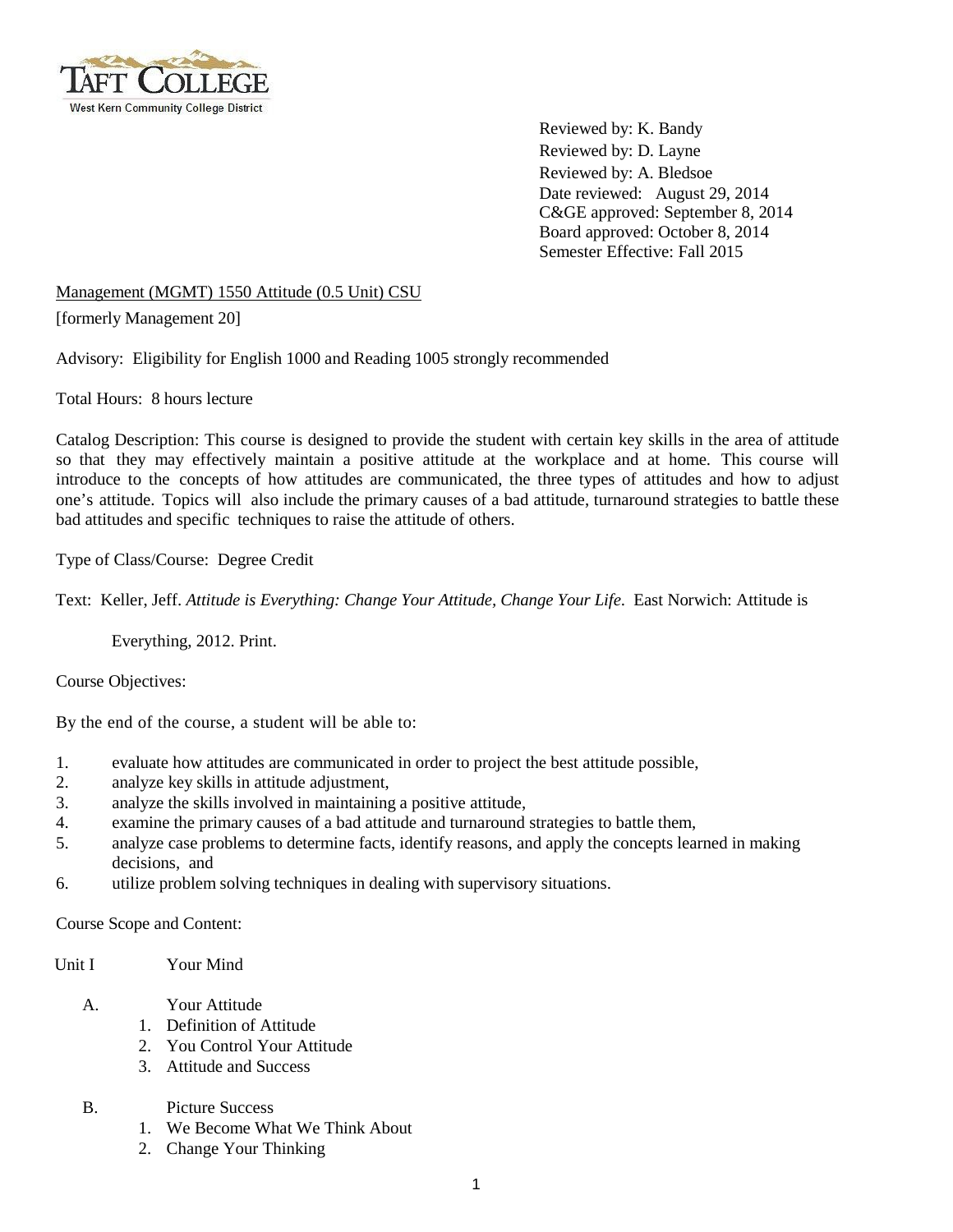

Reviewed by: K. Bandy Reviewed by: D. Layne Reviewed by: A. Bledsoe Date reviewed: August 29, 2014 C&GE approved: September 8, 2014 Board approved: October 8, 2014 Semester Effective: Fall 2015

Management (MGMT) 1550 Attitude (0.5 Unit) CSU [formerly Management 20]

Advisory: Eligibility for English 1000 and Reading 1005 strongly recommended

Total Hours: 8 hours lecture

Catalog Description: This course is designed to provide the student with certain key skills in the area of attitude so that they may effectively maintain a positive attitude at the workplace and at home. This course will introduce to the concepts of how attitudes are communicated, the three types of attitudes and how to adjust one's attitude. Topics will also include the primary causes of a bad attitude, turnaround strategies to battle these bad attitudes and specific techniques to raise the attitude of others.

Type of Class/Course: Degree Credit

Text: Keller, Jeff. *Attitude is Everything: Change Your Attitude, Change Your Life*. East Norwich: Attitude is

Everything, 2012. Print.

Course Objectives:

By the end of the course, a student will be able to:

- 1. evaluate how attitudes are communicated in order to project the best attitude possible,
- 2. analyze key skills in attitude adjustment,
- 3. analyze the skills involved in maintaining a positive attitude,
- 4. examine the primary causes of a bad attitude and turnaround strategies to battle them,
- 5. analyze case problems to determine facts, identify reasons, and apply the concepts learned in making decisions, and
- 6. utilize problem solving techniques in dealing with supervisory situations.

Course Scope and Content:

Unit I Your Mind

- A. Your Attitude
	- 1. Definition of Attitude
	- 2. You Control Your Attitude
	- 3. Attitude and Success
- B. Picture Success
	- 1. We Become What We Think About
	- 2. Change Your Thinking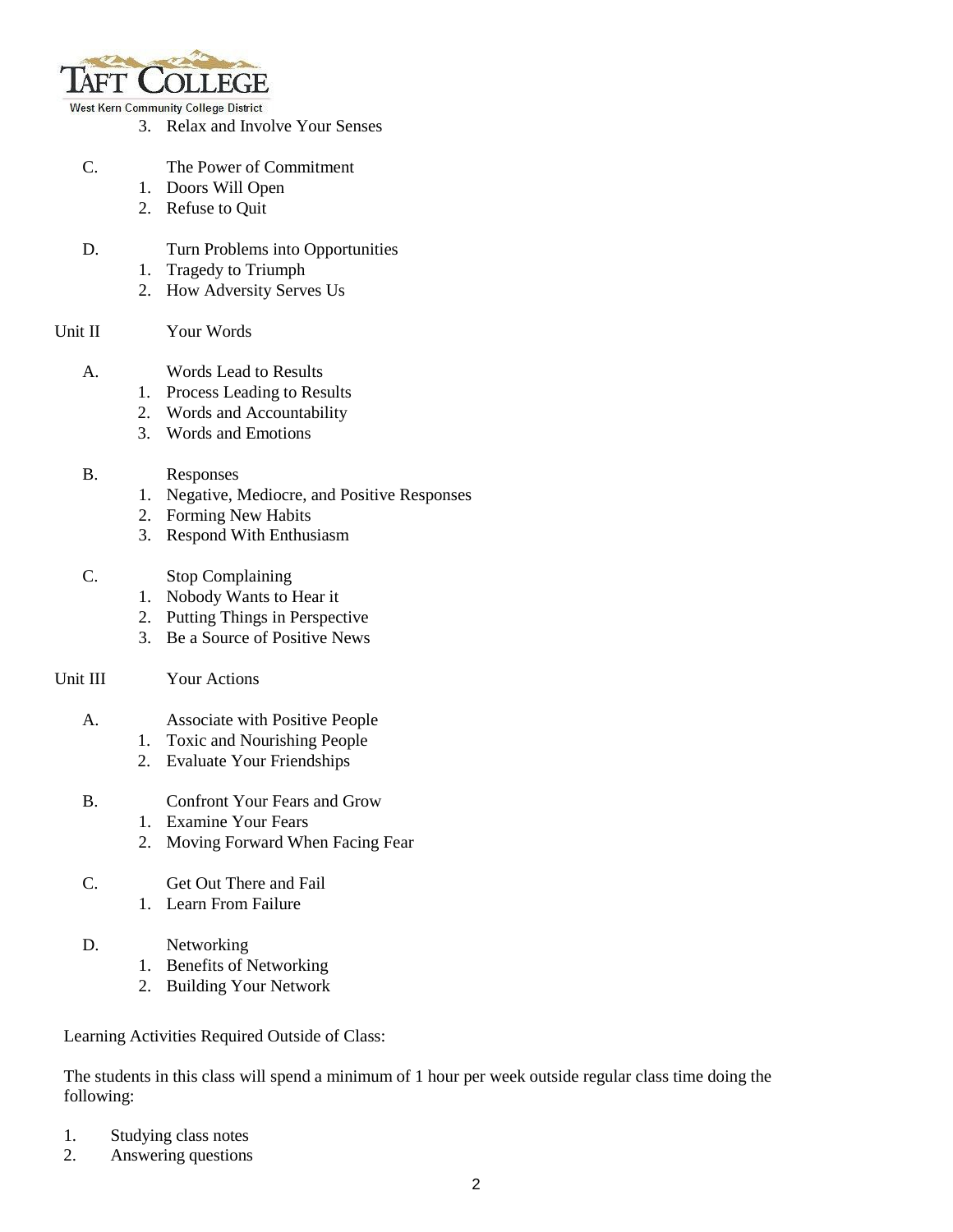

West Kern Community College District

- 3. Relax and Involve Your Senses
- C. The Power of Commitment
	- 1. Doors Will Open
	- 2. Refuse to Quit
- D. Turn Problems into Opportunities
	- 1. Tragedy to Triumph
	- 2. How Adversity Serves Us
- Unit II Your Words
	- A. Words Lead to Results
		- 1. Process Leading to Results
		- 2. Words and Accountability
		- 3. Words and Emotions

## B. Responses

- 1. Negative, Mediocre, and Positive Responses
- 2. Forming New Habits
- 3. Respond With Enthusiasm
- C. Stop Complaining
	- 1. Nobody Wants to Hear it
	- 2. Putting Things in Perspective
	- 3. Be a Source of Positive News

## Unit III Your Actions

- A. Associate with Positive People
	- 1. Toxic and Nourishing People
	- 2. Evaluate Your Friendships
- B. Confront Your Fears and Grow
	- 1. Examine Your Fears
	- 2. Moving Forward When Facing Fear
- C. Get Out There and Fail
	- 1. Learn From Failure

## D. Networking

- 1. Benefits of Networking
- 2. Building Your Network

Learning Activities Required Outside of Class:

The students in this class will spend a minimum of 1 hour per week outside regular class time doing the following:

- 1. Studying class notes
- 2. Answering questions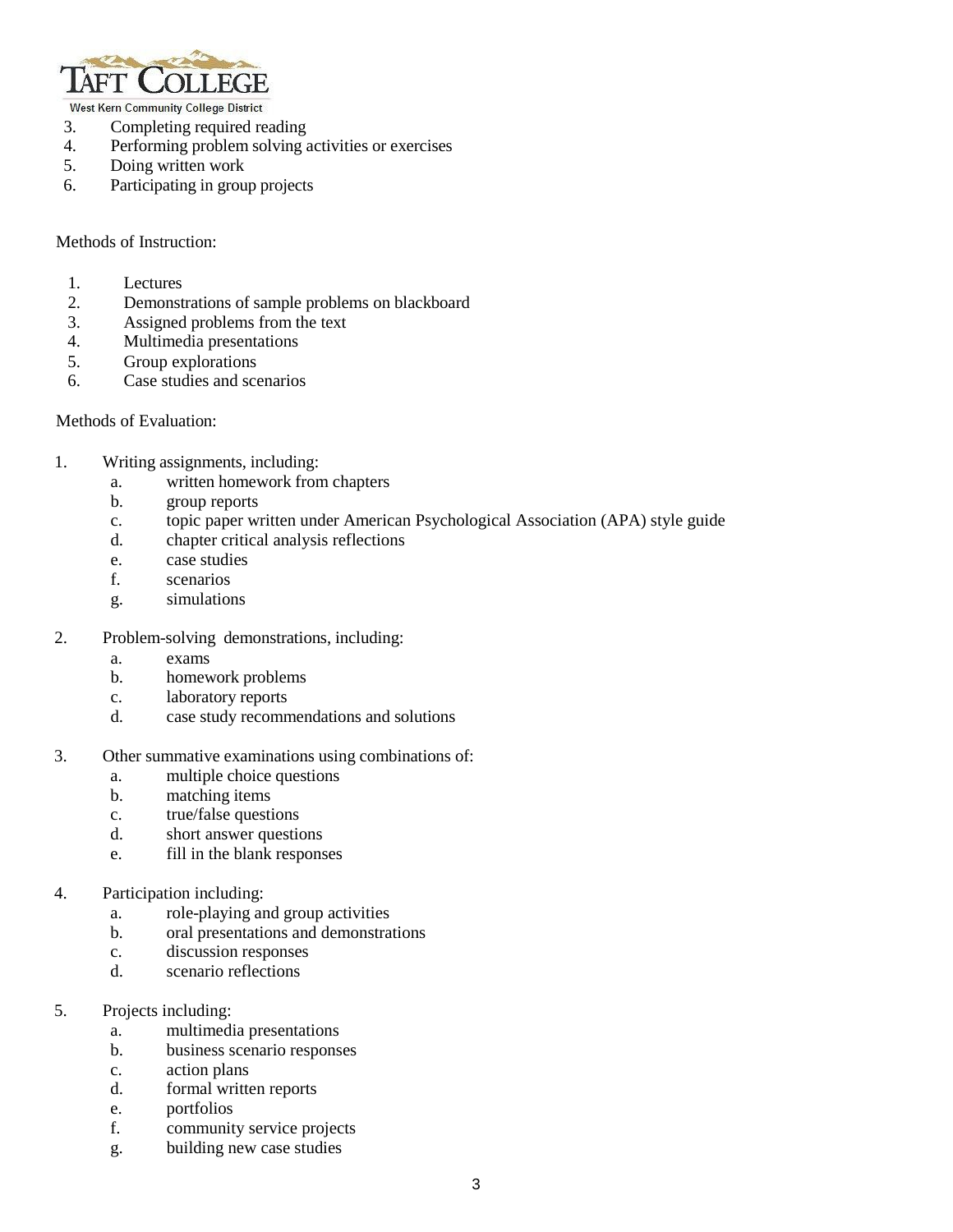

West Kern Community College District

- 3. Completing required reading
- 4. Performing problem solving activities or exercises
- 5. Doing written work
- 6. Participating in group projects

Methods of Instruction:

- 1. Lectures
- 2. Demonstrations of sample problems on blackboard
- 3. Assigned problems from the text
- 4. Multimedia presentations
- 5. Group explorations
- 6. Case studies and scenarios

Methods of Evaluation:

- 1. Writing assignments, including:
	- a. written homework from chapters
	- b. group reports
		- c. topic paper written under American Psychological Association (APA) style guide
		- d. chapter critical analysis reflections
		- e. case studies
		- f. scenarios
		- g. simulations
- 2. Problem-solving demonstrations, including:
	- a. exams
	- b. homework problems
	- c. laboratory reports
	- d. case study recommendations and solutions
- 3. Other summative examinations using combinations of:
	- a. multiple choice questions<br>b. matching items
	- matching items
	- c. true/false questions
	- d. short answer questions
	- e. fill in the blank responses
- 4. Participation including:
	- a. role-playing and group activities
	- b. oral presentations and demonstrations
	- c. discussion responses
	- d. scenario reflections
- 5. Projects including:
	- a. multimedia presentations
	- b. business scenario responses
	- c. action plans
	- d. formal written reports
	- e. portfolios
	- f. community service projects
	- g. building new case studies